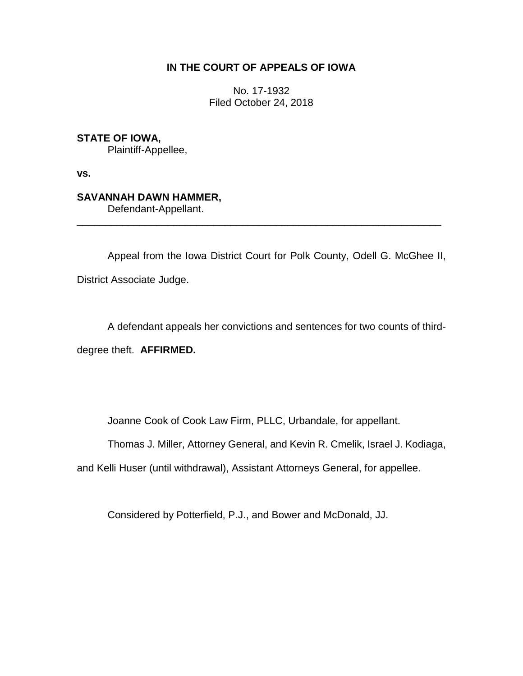# **IN THE COURT OF APPEALS OF IOWA**

No. 17-1932 Filed October 24, 2018

**STATE OF IOWA,**

Plaintiff-Appellee,

**vs.**

# **SAVANNAH DAWN HAMMER,**

Defendant-Appellant.

Appeal from the Iowa District Court for Polk County, Odell G. McGhee II, District Associate Judge.

\_\_\_\_\_\_\_\_\_\_\_\_\_\_\_\_\_\_\_\_\_\_\_\_\_\_\_\_\_\_\_\_\_\_\_\_\_\_\_\_\_\_\_\_\_\_\_\_\_\_\_\_\_\_\_\_\_\_\_\_\_\_\_\_

A defendant appeals her convictions and sentences for two counts of thirddegree theft. **AFFIRMED.** 

Joanne Cook of Cook Law Firm, PLLC, Urbandale, for appellant.

Thomas J. Miller, Attorney General, and Kevin R. Cmelik, Israel J. Kodiaga,

and Kelli Huser (until withdrawal), Assistant Attorneys General, for appellee.

Considered by Potterfield, P.J., and Bower and McDonald, JJ.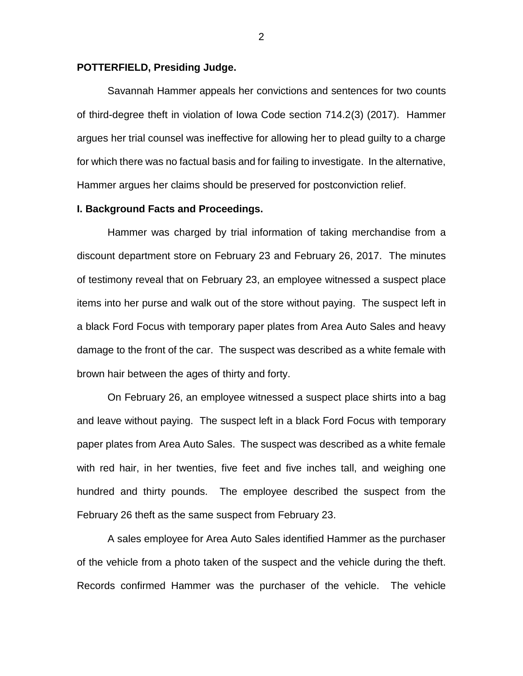#### **POTTERFIELD, Presiding Judge.**

Savannah Hammer appeals her convictions and sentences for two counts of third-degree theft in violation of Iowa Code section 714.2(3) (2017). Hammer argues her trial counsel was ineffective for allowing her to plead guilty to a charge for which there was no factual basis and for failing to investigate. In the alternative, Hammer argues her claims should be preserved for postconviction relief.

#### **I. Background Facts and Proceedings.**

Hammer was charged by trial information of taking merchandise from a discount department store on February 23 and February 26, 2017. The minutes of testimony reveal that on February 23, an employee witnessed a suspect place items into her purse and walk out of the store without paying. The suspect left in a black Ford Focus with temporary paper plates from Area Auto Sales and heavy damage to the front of the car. The suspect was described as a white female with brown hair between the ages of thirty and forty.

On February 26, an employee witnessed a suspect place shirts into a bag and leave without paying. The suspect left in a black Ford Focus with temporary paper plates from Area Auto Sales. The suspect was described as a white female with red hair, in her twenties, five feet and five inches tall, and weighing one hundred and thirty pounds. The employee described the suspect from the February 26 theft as the same suspect from February 23.

A sales employee for Area Auto Sales identified Hammer as the purchaser of the vehicle from a photo taken of the suspect and the vehicle during the theft. Records confirmed Hammer was the purchaser of the vehicle. The vehicle

2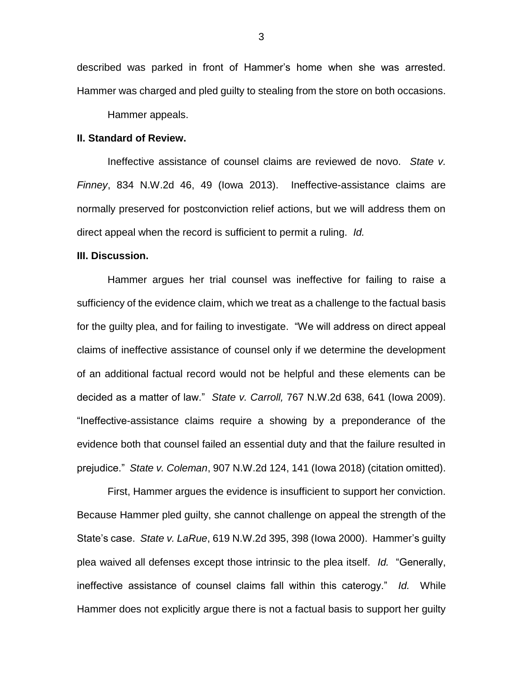described was parked in front of Hammer's home when she was arrested. Hammer was charged and pled guilty to stealing from the store on both occasions.

Hammer appeals.

## **II. Standard of Review.**

Ineffective assistance of counsel claims are reviewed de novo. *State v. Finney*, 834 N.W.2d 46, 49 (Iowa 2013). Ineffective-assistance claims are normally preserved for postconviction relief actions, but we will address them on direct appeal when the record is sufficient to permit a ruling. *Id.* 

### **III. Discussion.**

Hammer argues her trial counsel was ineffective for failing to raise a sufficiency of the evidence claim, which we treat as a challenge to the factual basis for the guilty plea, and for failing to investigate. "We will address on direct appeal claims of ineffective assistance of counsel only if we determine the development of an additional factual record would not be helpful and these elements can be decided as a matter of law." *State v. Carroll,* 767 N.W.2d 638, 641 (Iowa 2009). "Ineffective-assistance claims require a showing by a preponderance of the evidence both that counsel failed an essential duty and that the failure resulted in prejudice." *State v. Coleman*, 907 N.W.2d 124, 141 (Iowa 2018) (citation omitted).

First, Hammer argues the evidence is insufficient to support her conviction. Because Hammer pled guilty, she cannot challenge on appeal the strength of the State's case. *State v. LaRue*, 619 N.W.2d 395, 398 (Iowa 2000). Hammer's guilty plea waived all defenses except those intrinsic to the plea itself. *Id.* "Generally, ineffective assistance of counsel claims fall within this caterogy." *Id.* While Hammer does not explicitly argue there is not a factual basis to support her guilty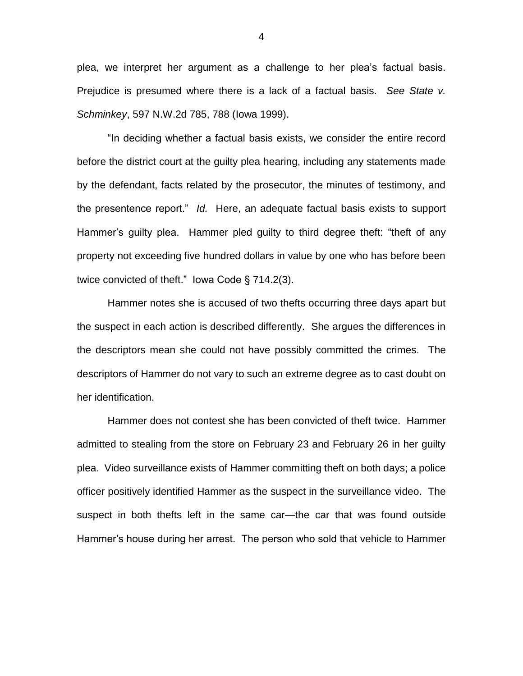plea, we interpret her argument as a challenge to her plea's factual basis. Prejudice is presumed where there is a lack of a factual basis. *See State v. Schminkey*, 597 N.W.2d 785, 788 (Iowa 1999).

"In deciding whether a factual basis exists, we consider the entire record before the district court at the guilty plea hearing, including any statements made by the defendant, facts related by the prosecutor, the minutes of testimony, and the presentence report." *Id.* Here, an adequate factual basis exists to support Hammer's guilty plea. Hammer pled guilty to third degree theft: "theft of any property not exceeding five hundred dollars in value by one who has before been twice convicted of theft." Iowa Code § 714.2(3).

Hammer notes she is accused of two thefts occurring three days apart but the suspect in each action is described differently. She argues the differences in the descriptors mean she could not have possibly committed the crimes. The descriptors of Hammer do not vary to such an extreme degree as to cast doubt on her identification.

Hammer does not contest she has been convicted of theft twice. Hammer admitted to stealing from the store on February 23 and February 26 in her guilty plea. Video surveillance exists of Hammer committing theft on both days; a police officer positively identified Hammer as the suspect in the surveillance video. The suspect in both thefts left in the same car—the car that was found outside Hammer's house during her arrest. The person who sold that vehicle to Hammer

4